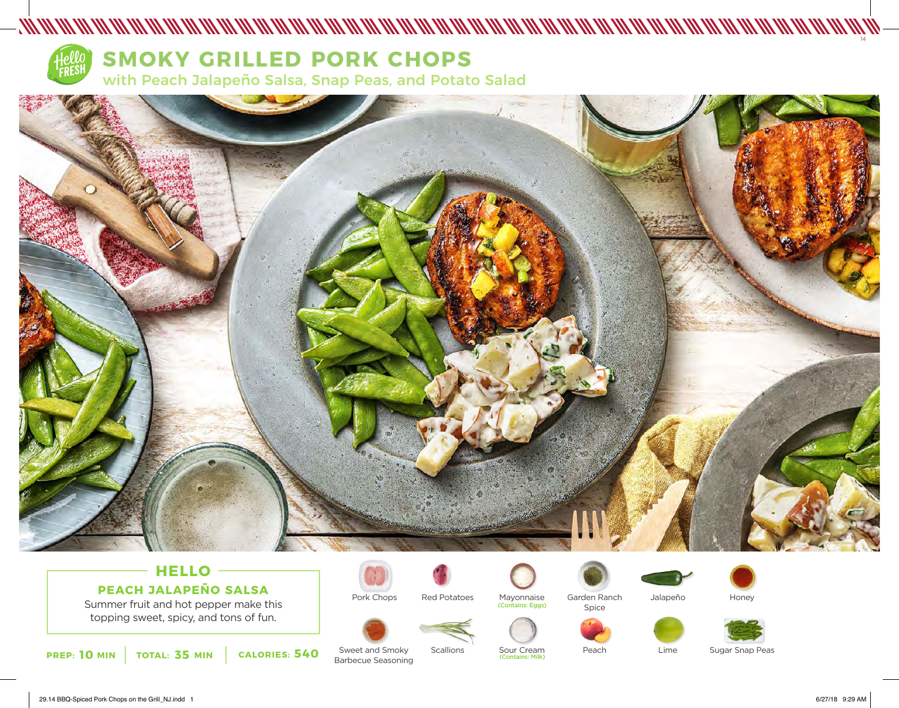

# **SMOKY GRILLED PORK CHOPS**

with Peach Jalapeño Salsa, Snap Peas, and Potato Salad



## **HELLO PEACH JALAPEÑO SALSA**

Summer fruit and hot pepper make this topping sweet, spicy, and tons of fun.

**PREP: 10 MIN** TOTAL: 35 MIN CALORIES: 540 SWEET and Smoky Scallions Sour Cream<br>Rarbecue Seasoning Contains: Milk)



Red Potatoes

Scallions





Sour Cream<br>Contains: Milk)



Peach



Lime

Honey



Sugar Snap Peas

Sweet and Smoky Barbecue Seasoning

29.14 BBQ-Spiced Pork Chops on the Grill\_NJ.indd 1 6/27/18 9:29 AM

14